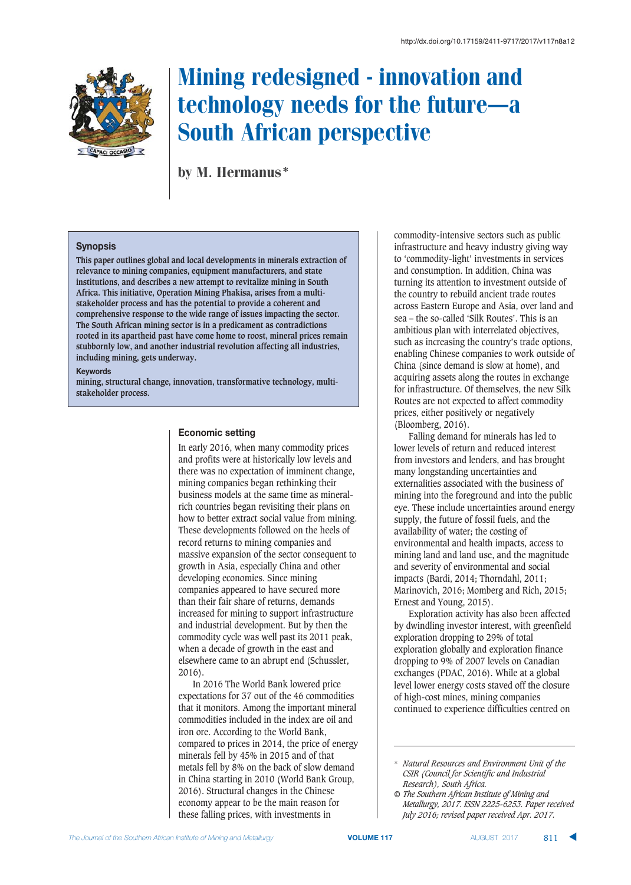

# Mining redesigned - innovation and technology needs for the future–a South African perspective

by M. Hermanus\*

#### **Synopsis**

**This paper outlines global and local developments in minerals extraction of relevance to mining companies, equipment manufacturers, and state institutions, and describes a new attempt to revitalize mining in South Africa. This initiative, Operation Mining Phakisa, arises from a multistakeholder process and has the potential to provide a coherent and comprehensive response to the wide range of issues impacting the sector. The South African mining sector is in a predicament as contradictions rooted in its apartheid past have come home to roost, mineral prices remain stubbornly low, and another industrial revolution affecting all industries, including mining, gets underway.** 

#### **Keywords**

**mining, structural change, innovation, transformative technology, multistakeholder process.** 

#### **Economic setting**

In early 2016, when many commodity prices and profits were at historically low levels and there was no expectation of imminent change, mining companies began rethinking their business models at the same time as mineralrich countries began revisiting their plans on how to better extract social value from mining. These developments followed on the heels of record returns to mining companies and massive expansion of the sector consequent to growth in Asia, especially China and other developing economies. Since mining companies appeared to have secured more than their fair share of returns, demands increased for mining to support infrastructure and industrial development. But by then the commodity cycle was well past its 2011 peak, when a decade of growth in the east and elsewhere came to an abrupt end (Schussler, 2016).

In 2016 The World Bank lowered price expectations for 37 out of the 46 commodities that it monitors. Among the important mineral commodities included in the index are oil and iron ore. According to the World Bank, compared to prices in 2014, the price of energy minerals fell by 45% in 2015 and of that metals fell by 8% on the back of slow demand in China starting in 2010 (World Bank Group, 2016). Structural changes in the Chinese economy appear to be the main reason for these falling prices, with investments in

commodity-intensive sectors such as public infrastructure and heavy industry giving way to 'commodity-light' investments in services and consumption. In addition, China was turning its attention to investment outside of the country to rebuild ancient trade routes across Eastern Europe and Asia, over land and sea – the so-called 'Silk Routes'. This is an ambitious plan with interrelated objectives, such as increasing the country's trade options, enabling Chinese companies to work outside of China (since demand is slow at home), and acquiring assets along the routes in exchange for infrastructure. Of themselves, the new Silk Routes are not expected to affect commodity prices, either positively or negatively (Bloomberg, 2016).

Falling demand for minerals has led to lower levels of return and reduced interest from investors and lenders, and has brought many longstanding uncertainties and externalities associated with the business of mining into the foreground and into the public eye. These include uncertainties around energy supply, the future of fossil fuels, and the availability of water; the costing of environmental and health impacts, access to mining land and land use, and the magnitude and severity of environmental and social impacts (Bardi, 2014; Thorndahl, 2011; Marinovich, 2016; Momberg and Rich, 2015; Ernest and Young, 2015).

Exploration activity has also been affected by dwindling investor interest, with greenfield exploration dropping to 29% of total exploration globally and exploration finance dropping to 9% of 2007 levels on Canadian exchanges (PDAC, 2016). While at a global level lower energy costs staved off the closure of high-cost mines, mining companies continued to experience difficulties centred on

<sup>\*</sup> *Natural Resources and Environment Unit of the CSIR (Council for Scientific and Industrial Research), South Africa.*

*<sup>©</sup> The Southern African Institute of Mining and Metallurgy, 2017. ISSN 2225-6253. Paper received July 2016; revised paper received Apr. 2017.*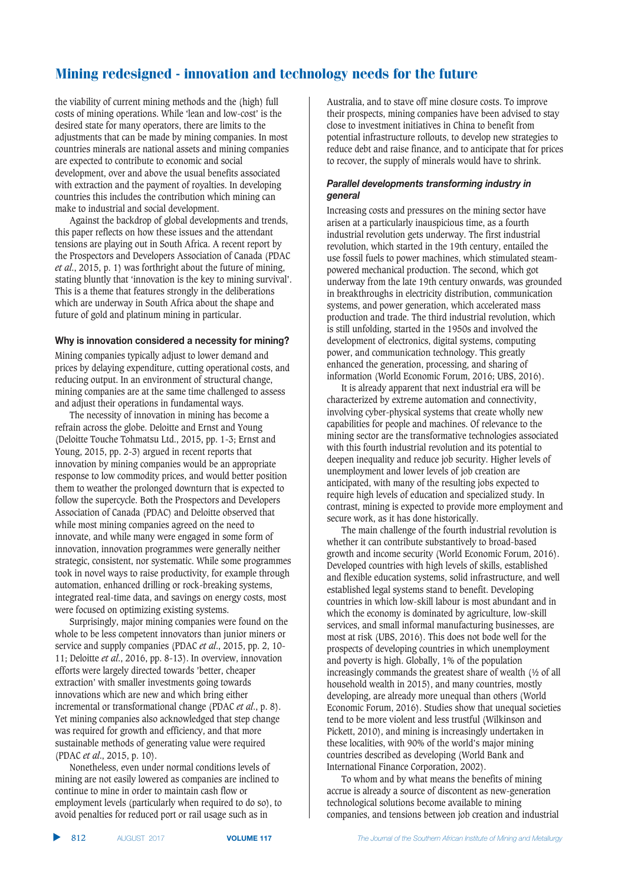the viability of current mining methods and the (high) full costs of mining operations. While 'lean and low-cost' is the desired state for many operators, there are limits to the adjustments that can be made by mining companies. In most countries minerals are national assets and mining companies are expected to contribute to economic and social development, over and above the usual benefits associated with extraction and the payment of royalties. In developing countries this includes the contribution which mining can make to industrial and social development.

Against the backdrop of global developments and trends, this paper reflects on how these issues and the attendant tensions are playing out in South Africa. A recent report by the Prospectors and Developers Association of Canada (PDAC *et al*., 2015, p. 1) was forthright about the future of mining, stating bluntly that 'innovation is the key to mining survival'. This is a theme that features strongly in the deliberations which are underway in South Africa about the shape and future of gold and platinum mining in particular.

#### **Why is innovation considered a necessity for mining?**

Mining companies typically adjust to lower demand and prices by delaying expenditure, cutting operational costs, and reducing output. In an environment of structural change, mining companies are at the same time challenged to assess and adjust their operations in fundamental ways.

The necessity of innovation in mining has become a refrain across the globe. Deloitte and Ernst and Young (Deloitte Touche Tohmatsu Ltd., 2015, pp. 1-3; Ernst and Young, 2015, pp. 2-3) argued in recent reports that innovation by mining companies would be an appropriate response to low commodity prices, and would better position them to weather the prolonged downturn that is expected to follow the supercycle. Both the Prospectors and Developers Association of Canada (PDAC) and Deloitte observed that while most mining companies agreed on the need to innovate, and while many were engaged in some form of innovation, innovation programmes were generally neither strategic, consistent, nor systematic. While some programmes took in novel ways to raise productivity, for example through automation, enhanced drilling or rock-breaking systems, integrated real-time data, and savings on energy costs, most were focused on optimizing existing systems.

Surprisingly, major mining companies were found on the whole to be less competent innovators than junior miners or service and supply companies (PDAC *et al*., 2015, pp. 2, 10- 11; Deloitte *et al*., 2016, pp. 8-13). In overview, innovation efforts were largely directed towards 'better, cheaper extraction' with smaller investments going towards innovations which are new and which bring either incremental or transformational change (PDAC *et al*., p. 8). Yet mining companies also acknowledged that step change was required for growth and efficiency, and that more sustainable methods of generating value were required (PDAC *et al*., 2015, p. 10).

Nonetheless, even under normal conditions levels of mining are not easily lowered as companies are inclined to continue to mine in order to maintain cash flow or employment levels (particularly when required to do so), to avoid penalties for reduced port or rail usage such as in

Australia, and to stave off mine closure costs. To improve their prospects, mining companies have been advised to stay close to investment initiatives in China to benefit from potential infrastructure rollouts, to develop new strategies to reduce debt and raise finance, and to anticipate that for prices to recover, the supply of minerals would have to shrink.

#### Parallel developments transforming industry in *<u>a*</u>

Increasing costs and pressures on the mining sector have arisen at a particularly inauspicious time, as a fourth industrial revolution gets underway. The first industrial revolution, which started in the 19th century, entailed the use fossil fuels to power machines, which stimulated steampowered mechanical production. The second, which got underway from the late 19th century onwards, was grounded in breakthroughs in electricity distribution, communication systems, and power generation, which accelerated mass production and trade. The third industrial revolution, which is still unfolding, started in the 1950s and involved the development of electronics, digital systems, computing power, and communication technology. This greatly enhanced the generation, processing, and sharing of information (World Economic Forum, 2016; UBS, 2016).

It is already apparent that next industrial era will be characterized by extreme automation and connectivity, involving cyber-physical systems that create wholly new capabilities for people and machines. Of relevance to the mining sector are the transformative technologies associated with this fourth industrial revolution and its potential to deepen inequality and reduce job security. Higher levels of unemployment and lower levels of job creation are anticipated, with many of the resulting jobs expected to require high levels of education and specialized study. In contrast, mining is expected to provide more employment and secure work, as it has done historically.

The main challenge of the fourth industrial revolution is whether it can contribute substantively to broad-based growth and income security (World Economic Forum, 2016). Developed countries with high levels of skills, established and flexible education systems, solid infrastructure, and well established legal systems stand to benefit. Developing countries in which low-skill labour is most abundant and in which the economy is dominated by agriculture, low-skill services, and small informal manufacturing businesses, are most at risk (UBS, 2016). This does not bode well for the prospects of developing countries in which unemployment and poverty is high. Globally, 1% of the population increasingly commands the greatest share of wealth (½ of all household wealth in 2015), and many countries, mostly developing, are already more unequal than others (World Economic Forum, 2016). Studies show that unequal societies tend to be more violent and less trustful (Wilkinson and Pickett, 2010), and mining is increasingly undertaken in these localities, with 90% of the world's major mining countries described as developing (World Bank and International Finance Corporation, 2002).

To whom and by what means the benefits of mining accrue is already a source of discontent as new-generation technological solutions become available to mining companies, and tensions between job creation and industrial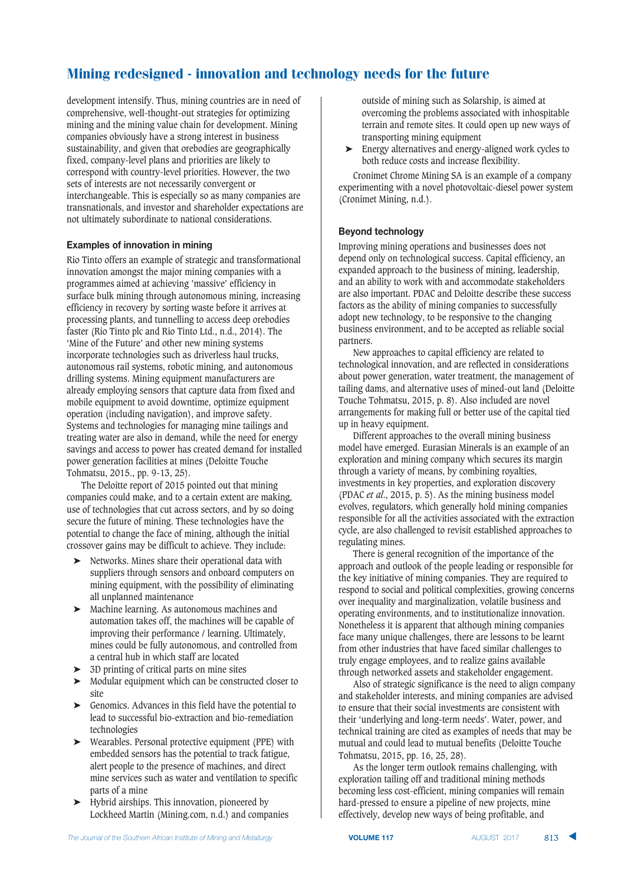development intensify. Thus, mining countries are in need of comprehensive, well-thought-out strategies for optimizing mining and the mining value chain for development. Mining companies obviously have a strong interest in business sustainability, and given that orebodies are geographically fixed, company-level plans and priorities are likely to correspond with country-level priorities. However, the two sets of interests are not necessarily convergent or interchangeable. This is especially so as many companies are transnationals, and investor and shareholder expectations are not ultimately subordinate to national considerations.

#### **Examples of innovation in mining**

Rio Tinto offers an example of strategic and transformational innovation amongst the major mining companies with a programmes aimed at achieving 'massive' efficiency in surface bulk mining through autonomous mining, increasing efficiency in recovery by sorting waste before it arrives at processing plants, and tunnelling to access deep orebodies faster (Rio Tinto plc and Rio Tinto Ltd., n.d., 2014). The 'Mine of the Future' and other new mining systems incorporate technologies such as driverless haul trucks, autonomous rail systems, robotic mining, and autonomous drilling systems. Mining equipment manufacturers are already employing sensors that capture data from fixed and mobile equipment to avoid downtime, optimize equipment operation (including navigation), and improve safety. Systems and technologies for managing mine tailings and treating water are also in demand, while the need for energy savings and access to power has created demand for installed power generation facilities at mines (Deloitte Touche Tohmatsu, 2015., pp. 9-13, 25).

The Deloitte report of 2015 pointed out that mining companies could make, and to a certain extent are making, use of technologies that cut across sectors, and by so doing secure the future of mining. These technologies have the potential to change the face of mining, although the initial crossover gains may be difficult to achieve. They include:

- ➤ Networks. Mines share their operational data with suppliers through sensors and onboard computers on mining equipment, with the possibility of eliminating all unplanned maintenance
- ➤ Machine learning. As autonomous machines and automation takes off, the machines will be capable of improving their performance / learning. Ultimately, mines could be fully autonomous, and controlled from a central hub in which staff are located
- ➤ 3D printing of critical parts on mine sites
- ➤ Modular equipment which can be constructed closer to site
- Genomics. Advances in this field have the potential to lead to successful bio-extraction and bio-remediation technologies
- Wearables. Personal protective equipment (PPE) with embedded sensors has the potential to track fatigue, alert people to the presence of machines, and direct mine services such as water and ventilation to specific parts of a mine
- ➤ Hybrid airships. This innovation, pioneered by Lockheed Martin (Mining.com, n.d.) and companies

outside of mining such as Solarship, is aimed at overcoming the problems associated with inhospitable terrain and remote sites. It could open up new ways of transporting mining equipment

➤ Energy alternatives and energy-aligned work cycles to both reduce costs and increase flexibility.

Cronimet Chrome Mining SA is an example of a company experimenting with a novel photovoltaic-diesel power system (Cronimet Mining, n.d.).

#### **Beyond technology**

Improving mining operations and businesses does not depend only on technological success. Capital efficiency, an expanded approach to the business of mining, leadership, and an ability to work with and accommodate stakeholders are also important. PDAC and Deloitte describe these success factors as the ability of mining companies to successfully adopt new technology, to be responsive to the changing business environment, and to be accepted as reliable social partners.

New approaches to capital efficiency are related to technological innovation, and are reflected in considerations about power generation, water treatment, the management of tailing dams, and alternative uses of mined-out land (Deloitte Touche Tohmatsu, 2015, p. 8). Also included are novel arrangements for making full or better use of the capital tied up in heavy equipment.

Different approaches to the overall mining business model have emerged. Eurasian Minerals is an example of an exploration and mining company which secures its margin through a variety of means, by combining royalties, investments in key properties, and exploration discovery (PDAC *et al*., 2015, p. 5). As the mining business model evolves, regulators, which generally hold mining companies responsible for all the activities associated with the extraction cycle, are also challenged to revisit established approaches to regulating mines.

There is general recognition of the importance of the approach and outlook of the people leading or responsible for the key initiative of mining companies. They are required to respond to social and political complexities, growing concerns over inequality and marginalization, volatile business and operating environments, and to institutionalize innovation. Nonetheless it is apparent that although mining companies face many unique challenges, there are lessons to be learnt from other industries that have faced similar challenges to truly engage employees, and to realize gains available through networked assets and stakeholder engagement.

Also of strategic significance is the need to align company and stakeholder interests, and mining companies are advised to ensure that their social investments are consistent with their 'underlying and long-term needs'. Water, power, and technical training are cited as examples of needs that may be mutual and could lead to mutual benefits (Deloitte Touche Tohmatsu, 2015, pp. 16, 25, 28).

As the longer term outlook remains challenging, with exploration tailing off and traditional mining methods becoming less cost-efficient, mining companies will remain hard-pressed to ensure a pipeline of new projects, mine effectively, develop new ways of being profitable, and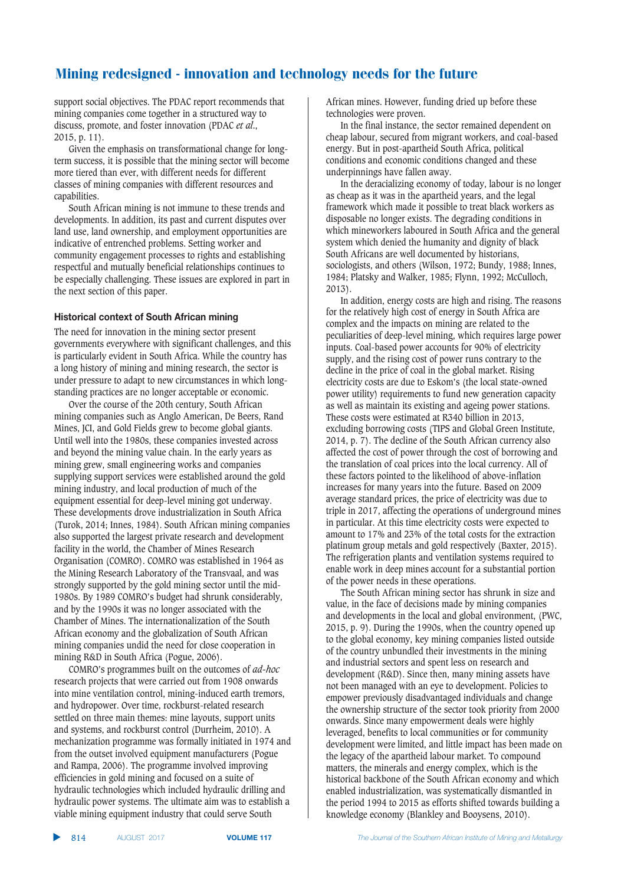support social objectives. The PDAC report recommends that mining companies come together in a structured way to discuss, promote, and foster innovation (PDAC *et al*., 2015, p. 11).

Given the emphasis on transformational change for longterm success, it is possible that the mining sector will become more tiered than ever, with different needs for different classes of mining companies with different resources and capabilities.

South African mining is not immune to these trends and developments. In addition, its past and current disputes over land use, land ownership, and employment opportunities are indicative of entrenched problems. Setting worker and community engagement processes to rights and establishing respectful and mutually beneficial relationships continues to be especially challenging. These issues are explored in part in the next section of this paper.

#### **Historical context of South African mining**

The need for innovation in the mining sector present governments everywhere with significant challenges, and this is particularly evident in South Africa. While the country has a long history of mining and mining research, the sector is under pressure to adapt to new circumstances in which longstanding practices are no longer acceptable or economic.

Over the course of the 20th century, South African mining companies such as Anglo American, De Beers, Rand Mines, JCI, and Gold Fields grew to become global giants. Until well into the 1980s, these companies invested across and beyond the mining value chain. In the early years as mining grew, small engineering works and companies supplying support services were established around the gold mining industry, and local production of much of the equipment essential for deep-level mining got underway. These developments drove industrialization in South Africa (Turok, 2014; Innes, 1984). South African mining companies also supported the largest private research and development facility in the world, the Chamber of Mines Research Organisation (COMRO). COMRO was established in 1964 as the Mining Research Laboratory of the Transvaal, and was strongly supported by the gold mining sector until the mid-1980s. By 1989 COMRO's budget had shrunk considerably, and by the 1990s it was no longer associated with the Chamber of Mines. The internationalization of the South African economy and the globalization of South African mining companies undid the need for close cooperation in mining R&D in South Africa (Pogue, 2006).

COMRO's programmes built on the outcomes of *ad-hoc* research projects that were carried out from 1908 onwards into mine ventilation control, mining-induced earth tremors, and hydropower. Over time, rockburst-related research settled on three main themes: mine layouts, support units and systems, and rockburst control (Durrheim, 2010). A mechanization programme was formally initiated in 1974 and from the outset involved equipment manufacturers (Pogue and Rampa, 2006). The programme involved improving efficiencies in gold mining and focused on a suite of hydraulic technologies which included hydraulic drilling and hydraulic power systems. The ultimate aim was to establish a viable mining equipment industry that could serve South

African mines. However, funding dried up before these technologies were proven.

In the final instance, the sector remained dependent on cheap labour, secured from migrant workers, and coal-based energy. But in post-apartheid South Africa, political conditions and economic conditions changed and these underpinnings have fallen away.

In the deracializing economy of today, labour is no longer as cheap as it was in the apartheid years, and the legal framework which made it possible to treat black workers as disposable no longer exists. The degrading conditions in which mineworkers laboured in South Africa and the general system which denied the humanity and dignity of black South Africans are well documented by historians, sociologists, and others (Wilson, 1972; Bundy, 1988; Innes, 1984; Platsky and Walker, 1985; Flynn, 1992; McCulloch, 2013).

In addition, energy costs are high and rising. The reasons for the relatively high cost of energy in South Africa are complex and the impacts on mining are related to the peculiarities of deep-level mining, which requires large power inputs. Coal-based power accounts for 90% of electricity supply, and the rising cost of power runs contrary to the decline in the price of coal in the global market. Rising electricity costs are due to Eskom's (the local state-owned power utility) requirements to fund new generation capacity as well as maintain its existing and ageing power stations. These costs were estimated at R340 billion in 2013, excluding borrowing costs (TIPS and Global Green Institute, 2014, p. 7). The decline of the South African currency also affected the cost of power through the cost of borrowing and the translation of coal prices into the local currency. All of these factors pointed to the likelihood of above-inflation increases for many years into the future. Based on 2009 average standard prices, the price of electricity was due to triple in 2017, affecting the operations of underground mines in particular. At this time electricity costs were expected to amount to 17% and 23% of the total costs for the extraction platinum group metals and gold respectively (Baxter, 2015). The refrigeration plants and ventilation systems required to enable work in deep mines account for a substantial portion of the power needs in these operations.

The South African mining sector has shrunk in size and value, in the face of decisions made by mining companies and developments in the local and global environment, (PWC, 2015, p. 9). During the 1990s, when the country opened up to the global economy, key mining companies listed outside of the country unbundled their investments in the mining and industrial sectors and spent less on research and development (R&D). Since then, many mining assets have not been managed with an eye to development. Policies to empower previously disadvantaged individuals and change the ownership structure of the sector took priority from 2000 onwards. Since many empowerment deals were highly leveraged, benefits to local communities or for community development were limited, and little impact has been made on the legacy of the apartheid labour market. To compound matters, the minerals and energy complex, which is the historical backbone of the South African economy and which enabled industrialization, was systematically dismantled in the period 1994 to 2015 as efforts shifted towards building a knowledge economy (Blankley and Booysens, 2010).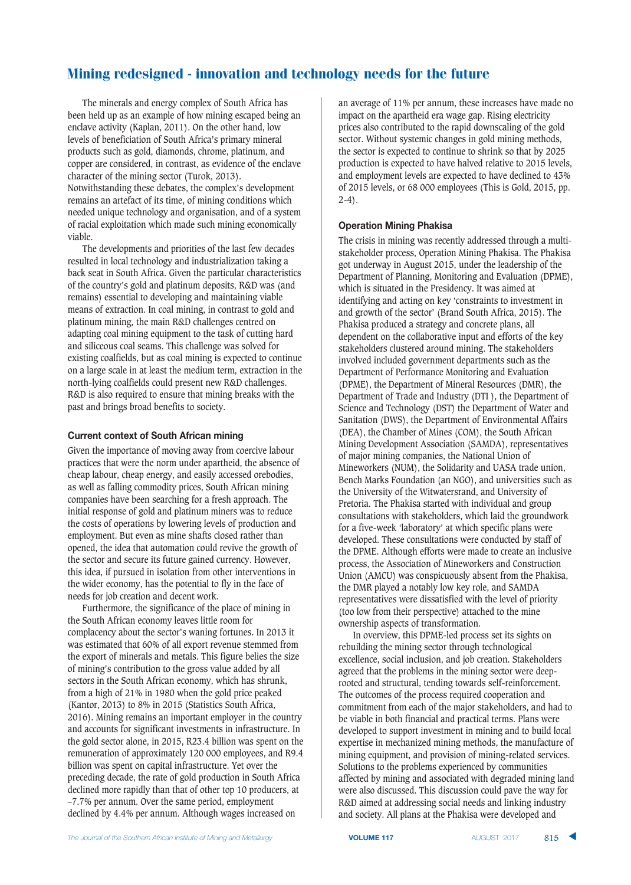The minerals and energy complex of South Africa has been held up as an example of how mining escaped being an enclave activity (Kaplan, 2011). On the other hand, low levels of beneficiation of South Africa's primary mineral products such as gold, diamonds, chrome, platinum, and copper are considered, in contrast, as evidence of the enclave character of the mining sector (Turok, 2013). Notwithstanding these debates, the complex's development remains an artefact of its time, of mining conditions which needed unique technology and organisation, and of a system of racial exploitation which made such mining economically viable.

The developments and priorities of the last few decades resulted in local technology and industrialization taking a back seat in South Africa. Given the particular characteristics of the country's gold and platinum deposits, R&D was (and remains) essential to developing and maintaining viable means of extraction. In coal mining, in contrast to gold and platinum mining, the main R&D challenges centred on adapting coal mining equipment to the task of cutting hard and siliceous coal seams. This challenge was solved for existing coalfields, but as coal mining is expected to continue on a large scale in at least the medium term, extraction in the north-lying coalfields could present new R&D challenges. R&D is also required to ensure that mining breaks with the past and brings broad benefits to society.

#### **Current context of South African mining**

Given the importance of moving away from coercive labour practices that were the norm under apartheid, the absence of cheap labour, cheap energy, and easily accessed orebodies, as well as falling commodity prices, South African mining companies have been searching for a fresh approach. The initial response of gold and platinum miners was to reduce the costs of operations by lowering levels of production and employment. But even as mine shafts closed rather than opened, the idea that automation could revive the growth of the sector and secure its future gained currency. However, this idea, if pursued in isolation from other interventions in the wider economy, has the potential to fly in the face of needs for job creation and decent work.

Furthermore, the significance of the place of mining in the South African economy leaves little room for complacency about the sector's waning fortunes. In 2013 it was estimated that 60% of all export revenue stemmed from the export of minerals and metals. This figure belies the size of mining's contribution to the gross value added by all sectors in the South African economy, which has shrunk, from a high of 21% in 1980 when the gold price peaked (Kantor, 2013) to 8% in 2015 (Statistics South Africa, 2016). Mining remains an important employer in the country and accounts for significant investments in infrastructure. In the gold sector alone, in 2015, R23.4 billion was spent on the remuneration of approximately 120 000 employees, and R9.4 billion was spent on capital infrastructure. Yet over the preceding decade, the rate of gold production in South Africa declined more rapidly than that of other top 10 producers, at –7.7% per annum. Over the same period, employment declined by 4.4% per annum. Although wages increased on

an average of 11% per annum, these increases have made no impact on the apartheid era wage gap. Rising electricity prices also contributed to the rapid downscaling of the gold sector. Without systemic changes in gold mining methods, the sector is expected to continue to shrink so that by 2025 production is expected to have halved relative to 2015 levels, and employment levels are expected to have declined to 43% of 2015 levels, or 68 000 employees (This is Gold, 2015, pp.  $2-4$ ).

#### **Operation Mining Phakisa**

The crisis in mining was recently addressed through a multistakeholder process, Operation Mining Phakisa. The Phakisa got underway in August 2015, under the leadership of the Department of Planning, Monitoring and Evaluation (DPME), which is situated in the Presidency. It was aimed at identifying and acting on key 'constraints to investment in and growth of the sector' (Brand South Africa, 2015). The Phakisa produced a strategy and concrete plans, all dependent on the collaborative input and efforts of the key stakeholders clustered around mining. The stakeholders involved included government departments such as the Department of Performance Monitoring and Evaluation (DPME), the Department of Mineral Resources (DMR), the Department of Trade and Industry (DTI ), the Department of Science and Technology (DST) the Department of Water and Sanitation (DWS), the Department of Environmental Affairs (DEA), the Chamber of Mines (COM), the South African Mining Development Association (SAMDA), representatives of major mining companies, the National Union of Mineworkers (NUM), the Solidarity and UASA trade union, Bench Marks Foundation (an NGO), and universities such as the University of the Witwatersrand, and University of Pretoria. The Phakisa started with individual and group consultations with stakeholders, which laid the groundwork for a five-week 'laboratory' at which specific plans were developed. These consultations were conducted by staff of the DPME. Although efforts were made to create an inclusive process, the Association of Mineworkers and Construction Union (AMCU) was conspicuously absent from the Phakisa, the DMR played a notably low key role, and SAMDA representatives were dissatisfied with the level of priority (too low from their perspective) attached to the mine ownership aspects of transformation.

In overview, this DPME-led process set its sights on rebuilding the mining sector through technological excellence, social inclusion, and job creation. Stakeholders agreed that the problems in the mining sector were deeprooted and structural, tending towards self-reinforcement. The outcomes of the process required cooperation and commitment from each of the major stakeholders, and had to be viable in both financial and practical terms. Plans were developed to support investment in mining and to build local expertise in mechanized mining methods, the manufacture of mining equipment, and provision of mining-related services. Solutions to the problems experienced by communities affected by mining and associated with degraded mining land were also discussed. This discussion could pave the way for R&D aimed at addressing social needs and linking industry and society. All plans at the Phakisa were developed and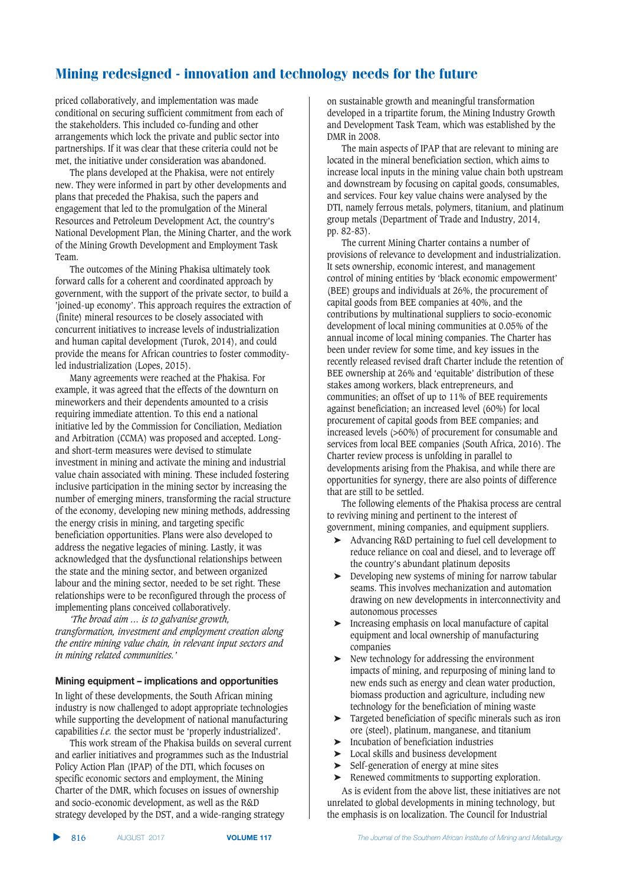priced collaboratively, and implementation was made conditional on securing sufficient commitment from each of the stakeholders. This included co-funding and other arrangements which lock the private and public sector into partnerships. If it was clear that these criteria could not be met, the initiative under consideration was abandoned.

The plans developed at the Phakisa, were not entirely new. They were informed in part by other developments and plans that preceded the Phakisa, such the papers and engagement that led to the promulgation of the Mineral Resources and Petroleum Development Act, the country's National Development Plan, the Mining Charter, and the work of the Mining Growth Development and Employment Task Team.

The outcomes of the Mining Phakisa ultimately took forward calls for a coherent and coordinated approach by government, with the support of the private sector, to build a 'joined-up economy'. This approach requires the extraction of (finite) mineral resources to be closely associated with concurrent initiatives to increase levels of industrialization and human capital development (Turok, 2014), and could provide the means for African countries to foster commodityled industrialization (Lopes, 2015).

Many agreements were reached at the Phakisa. For example, it was agreed that the effects of the downturn on mineworkers and their dependents amounted to a crisis requiring immediate attention. To this end a national initiative led by the Commission for Conciliation, Mediation and Arbitration (CCMA) was proposed and accepted. Longand short-term measures were devised to stimulate investment in mining and activate the mining and industrial value chain associated with mining. These included fostering inclusive participation in the mining sector by increasing the number of emerging miners, transforming the racial structure of the economy, developing new mining methods, addressing the energy crisis in mining, and targeting specific beneficiation opportunities. Plans were also developed to address the negative legacies of mining. Lastly, it was acknowledged that the dysfunctional relationships between the state and the mining sector, and between organized labour and the mining sector, needed to be set right. These relationships were to be reconfigured through the process of implementing plans conceived collaboratively.

*'The broad aim … is to galvanise growth, transformation, investment and employment creation along the entire mining value chain, in relevant input sectors and in mining related communities.'*

#### **Mining equipment – implications and opportunities**

In light of these developments, the South African mining industry is now challenged to adopt appropriate technologies while supporting the development of national manufacturing capabilities *i.e.* the sector must be 'properly industrialized'.

This work stream of the Phakisa builds on several current and earlier initiatives and programmes such as the Industrial Policy Action Plan (IPAP) of the DTI, which focuses on specific economic sectors and employment, the Mining Charter of the DMR, which focuses on issues of ownership and socio-economic development, as well as the R&D strategy developed by the DST, and a wide-ranging strategy

on sustainable growth and meaningful transformation developed in a tripartite forum, the Mining Industry Growth and Development Task Team, which was established by the DMR in 2008.

The main aspects of IPAP that are relevant to mining are located in the mineral beneficiation section, which aims to increase local inputs in the mining value chain both upstream and downstream by focusing on capital goods, consumables, and services. Four key value chains were analysed by the DTI, namely ferrous metals, polymers, titanium, and platinum group metals (Department of Trade and Industry, 2014, pp. 82-83).

The current Mining Charter contains a number of provisions of relevance to development and industrialization. It sets ownership, economic interest, and management control of mining entities by 'black economic empowerment' (BEE) groups and individuals at 26%, the procurement of capital goods from BEE companies at 40%, and the contributions by multinational suppliers to socio-economic development of local mining communities at 0.05% of the annual income of local mining companies. The Charter has been under review for some time, and key issues in the recently released revised draft Charter include the retention of BEE ownership at 26% and 'equitable' distribution of these stakes among workers, black entrepreneurs, and communities; an offset of up to 11% of BEE requirements against beneficiation; an increased level (60%) for local procurement of capital goods from BEE companies; and increased levels (>60%) of procurement for consumable and services from local BEE companies (South Africa, 2016). The Charter review process is unfolding in parallel to developments arising from the Phakisa, and while there are opportunities for synergy, there are also points of difference that are still to be settled.

The following elements of the Phakisa process are central to reviving mining and pertinent to the interest of government, mining companies, and equipment suppliers.

- ➤ Advancing R&D pertaining to fuel cell development to reduce reliance on coal and diesel, and to leverage off the country's abundant platinum deposits
- ➤ Developing new systems of mining for narrow tabular seams. This involves mechanization and automation drawing on new developments in interconnectivity and autonomous processes
- ➤ Increasing emphasis on local manufacture of capital equipment and local ownership of manufacturing companies
- ➤ New technology for addressing the environment impacts of mining, and repurposing of mining land to new ends such as energy and clean water production, biomass production and agriculture, including new technology for the beneficiation of mining waste
- ➤ Targeted beneficiation of specific minerals such as iron ore (steel), platinum, manganese, and titanium
- ➤ Incubation of beneficiation industries
- ➤ Local skills and business development
- ➤ Self-generation of energy at mine sites
- ➤ Renewed commitments to supporting exploration. As is evident from the above list, these initiatives are not

unrelated to global developments in mining technology, but the emphasis is on localization. The Council for Industrial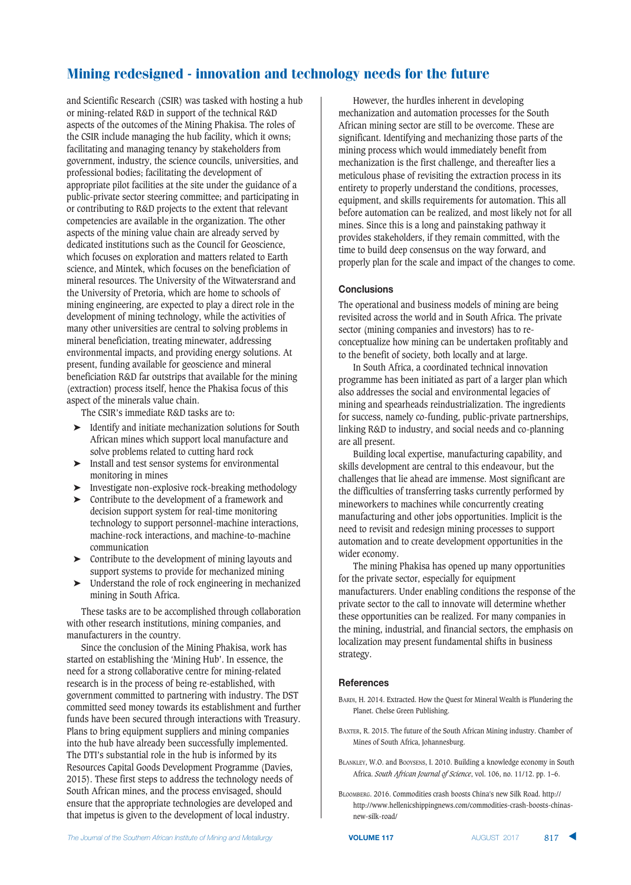and Scientific Research (CSIR) was tasked with hosting a hub or mining-related R&D in support of the technical R&D aspects of the outcomes of the Mining Phakisa. The roles of the CSIR include managing the hub facility, which it owns; facilitating and managing tenancy by stakeholders from government, industry, the science councils, universities, and professional bodies; facilitating the development of appropriate pilot facilities at the site under the guidance of a public-private sector steering committee; and participating in or contributing to R&D projects to the extent that relevant competencies are available in the organization. The other aspects of the mining value chain are already served by dedicated institutions such as the Council for Geoscience, which focuses on exploration and matters related to Earth science, and Mintek, which focuses on the beneficiation of mineral resources. The University of the Witwatersrand and the University of Pretoria, which are home to schools of mining engineering, are expected to play a direct role in the development of mining technology, while the activities of many other universities are central to solving problems in mineral beneficiation, treating minewater, addressing environmental impacts, and providing energy solutions. At present, funding available for geoscience and mineral beneficiation R&D far outstrips that available for the mining (extraction) process itself, hence the Phakisa focus of this aspect of the minerals value chain.

The CSIR's immediate R&D tasks are to:

- ➤ Identify and initiate mechanization solutions for South African mines which support local manufacture and solve problems related to cutting hard rock
- ➤ Install and test sensor systems for environmental monitoring in mines
- ➤ Investigate non-explosive rock-breaking methodology
- ➤ Contribute to the development of a framework and decision support system for real-time monitoring technology to support personnel-machine interactions, machine-rock interactions, and machine-to-machine communication
- ➤ Contribute to the development of mining layouts and support systems to provide for mechanized mining
- ➤ Understand the role of rock engineering in mechanized mining in South Africa.

These tasks are to be accomplished through collaboration with other research institutions, mining companies, and manufacturers in the country.

Since the conclusion of the Mining Phakisa, work has started on establishing the 'Mining Hub'. In essence, the need for a strong collaborative centre for mining-related research is in the process of being re-established, with government committed to partnering with industry. The DST committed seed money towards its establishment and further funds have been secured through interactions with Treasury. Plans to bring equipment suppliers and mining companies into the hub have already been successfully implemented. The DTI's substantial role in the hub is informed by its Resources Capital Goods Development Programme (Davies, 2015). These first steps to address the technology needs of South African mines, and the process envisaged, should ensure that the appropriate technologies are developed and that impetus is given to the development of local industry.

However, the hurdles inherent in developing mechanization and automation processes for the South African mining sector are still to be overcome. These are significant. Identifying and mechanizing those parts of the mining process which would immediately benefit from mechanization is the first challenge, and thereafter lies a meticulous phase of revisiting the extraction process in its entirety to properly understand the conditions, processes, equipment, and skills requirements for automation. This all before automation can be realized, and most likely not for all mines. Since this is a long and painstaking pathway it provides stakeholders, if they remain committed, with the time to build deep consensus on the way forward, and properly plan for the scale and impact of the changes to come.

#### **Conclusions**

The operational and business models of mining are being revisited across the world and in South Africa. The private sector (mining companies and investors) has to reconceptualize how mining can be undertaken profitably and to the benefit of society, both locally and at large.

In South Africa, a coordinated technical innovation programme has been initiated as part of a larger plan which also addresses the social and environmental legacies of mining and spearheads reindustrialization. The ingredients for success, namely co-funding, public-private partnerships, linking R&D to industry, and social needs and co-planning are all present.

Building local expertise, manufacturing capability, and skills development are central to this endeavour, but the challenges that lie ahead are immense. Most significant are the difficulties of transferring tasks currently performed by mineworkers to machines while concurrently creating manufacturing and other jobs opportunities. Implicit is the need to revisit and redesign mining processes to support automation and to create development opportunities in the wider economy.

The mining Phakisa has opened up many opportunities for the private sector, especially for equipment manufacturers. Under enabling conditions the response of the private sector to the call to innovate will determine whether these opportunities can be realized. For many companies in the mining, industrial, and financial sectors, the emphasis on localization may present fundamental shifts in business strategy.

#### **References**

- BARDI, H. 2014. Extracted. How the Quest for Mineral Wealth is Plundering the Planet. Chelse Green Publishing.
- BAXTER, R. 2015. The future of the South African Mining industry. Chamber of Mines of South Africa, Johannesburg.
- BLANKLEY, W.O. and BOOYSENS, I. 2010. Building a knowledge economy in South Africa. *South African Journal of Science*, vol. 106, no. 11/12. pp. 1–6.
- BLOOMBERG. 2016. Commodities crash boosts China's new Silk Road. http:// http://www.hellenicshippingnews.com/commodities-crash-boosts-chinasnew-silk-road/